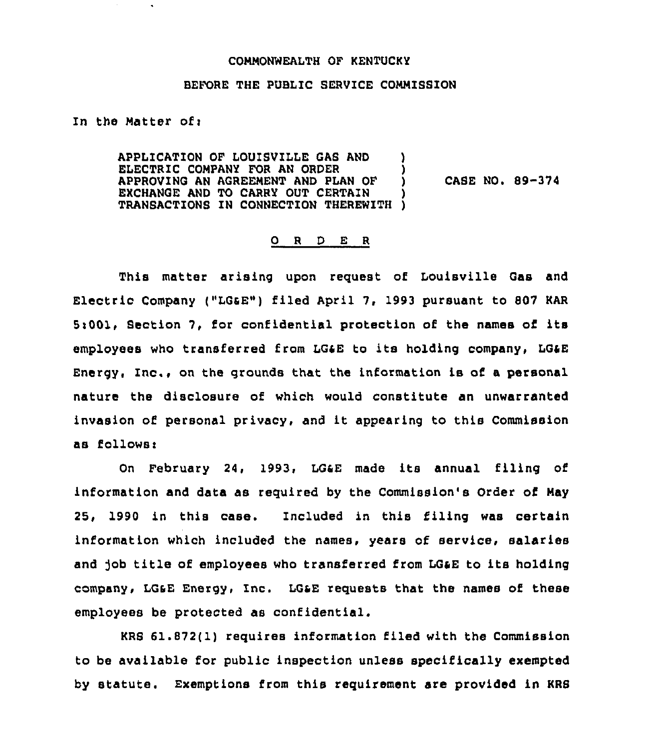## COMMONWEALTH OF KENTUCKY

## BEFORE THE PUBLIC SERVICE COMMISSION

In the Matter ofi

APPLICATION OF LOUISVILLE GAS AND )<br>ELECTRIC COMPANY FOR AN ORDER ELECTRIC COMPANY FOR AN ORDER (1988)<br>APPROVING AN AGREEMENT AND PLAN OF (1988) APPROVING AN AGREEMENT AND PLAN OF ) EXCHANGE AND TO CARRY OUT CERTAIN TRANSACTIONS IN CONNECTION THEREWITH ) CASE NO. 89-374

## 0 <sup>R</sup> <sup>D</sup> E <sup>R</sup>

This matter arising upon request of Louisville Gas and Electric Company ("LGSE") filed April 7, 1993 pursuant to 807 KAR 5:001, Section 7, for confidential protection of the names of its employees who transferred from LGaE to its holding company, LQaE Energy, Inc., on the grounds that the information is of a personal nature the disclosure of which would constitute an unwarranted invasion of personal privacy, and it appearing to this Commission as follows<

On February 24, 1993, LG4Z made its annual filing of information and data as required by the Commission's Order of May 25, 1990 in this case. Included in this filing was certain information which included the names, years of service, salaries and job title of employees who transferred from LG&E to its holding company, LGsE Energy, Inc. LOSE requests that the names of these employees be protected as confidential.

KRB 61.872(1) requires information filed with the Commission to be available for public inspection unless specifically exempted by statute. Exemptions from this requirement are provided in KRS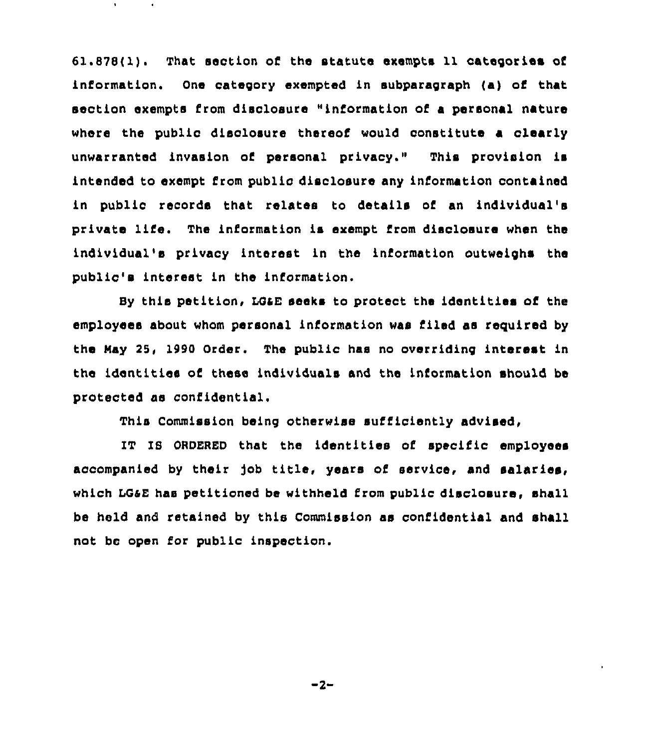61.878(I). That section of the statute exempts <sup>11</sup> categories of information. One category exempted in subparagraph (a) of that section exempts from disclosure "information of <sup>a</sup> personal nature where the public disclosure thereof would constitute a clearly unwarranted invasion of personal privacy." This provision is intended to exempt I'rom public disclosure any information contained in public records that relates to details of an individual's private life. The information is exempt from disclosure when the individual's privacy interest in the information outweighs the public's interest in the information.

By this petition, LG&E seeks to protect the identities of the employees about whom personal information was filed as required by the Hsy 25, 1990 Order. The public has no overriding interest in the identities of these individuals and the information should be protected as confidential.

This Commission being otherwise sufficiently advised,

IT IS ORDERED that the identities of specific employees accompanied by their job title, years of service, and salaries, which LGaE has petitioned be withheld from public disclosure, shall be held and retained by this Commission as confidential and shall not bc open for public inspection.

 $-2-$